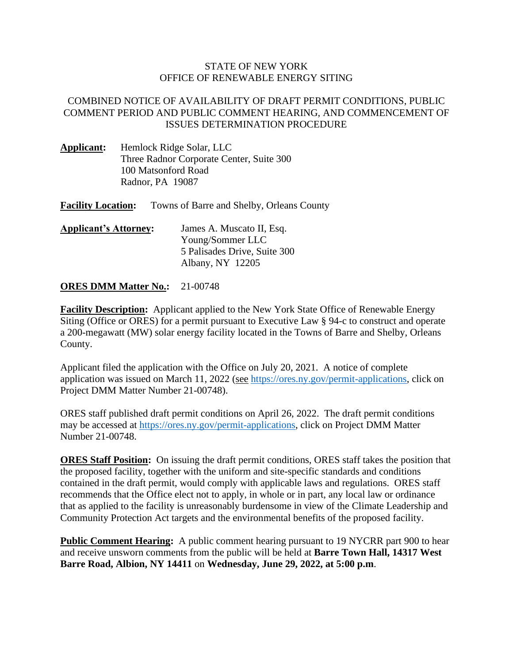## STATE OF NEW YORK OFFICE OF RENEWABLE ENERGY SITING

## COMBINED NOTICE OF AVAILABILITY OF DRAFT PERMIT CONDITIONS, PUBLIC COMMENT PERIOD AND PUBLIC COMMENT HEARING, AND COMMENCEMENT OF ISSUES DETERMINATION PROCEDURE

- **Applicant:** Hemlock Ridge Solar, LLC Three Radnor Corporate Center, Suite 300 100 Matsonford Road Radnor, PA 19087
- **Facility Location:** Towns of Barre and Shelby, Orleans County
- **Applicant's Attorney:** James A. Muscato II, Esq. Young/Sommer LLC 5 Palisades Drive, Suite 300 Albany, NY 12205

## **ORES DMM Matter No.:** 21-00748

**Facility Description:** Applicant applied to the New York State Office of Renewable Energy Siting (Office or ORES) for a permit pursuant to Executive Law § 94-c to construct and operate a 200-megawatt (MW) solar energy facility located in the Towns of Barre and Shelby, Orleans County.

Applicant filed the application with the Office on July 20, 2021. A notice of complete application was issued on March 11, 2022 (see [https://ores.ny.gov/permit-applications,](https://ores.ny.gov/permit-applications) click on Project DMM Matter Number 21-00748).

ORES staff published draft permit conditions on April 26, 2022. The draft permit conditions may be accessed at [https://ores.ny.gov/permit-applications,](https://ores.ny.gov/permit-applications) click on Project DMM Matter Number 21-00748.

**ORES Staff Position:** On issuing the draft permit conditions, ORES staff takes the position that the proposed facility, together with the uniform and site-specific standards and conditions contained in the draft permit, would comply with applicable laws and regulations. ORES staff recommends that the Office elect not to apply, in whole or in part, any local law or ordinance that as applied to the facility is unreasonably burdensome in view of the Climate Leadership and Community Protection Act targets and the environmental benefits of the proposed facility.

**Public Comment Hearing:** A public comment hearing pursuant to 19 NYCRR part 900 to hear and receive unsworn comments from the public will be held at **Barre Town Hall, 14317 West Barre Road, Albion, NY 14411** on **Wednesday, June 29, 2022, at 5:00 p.m**.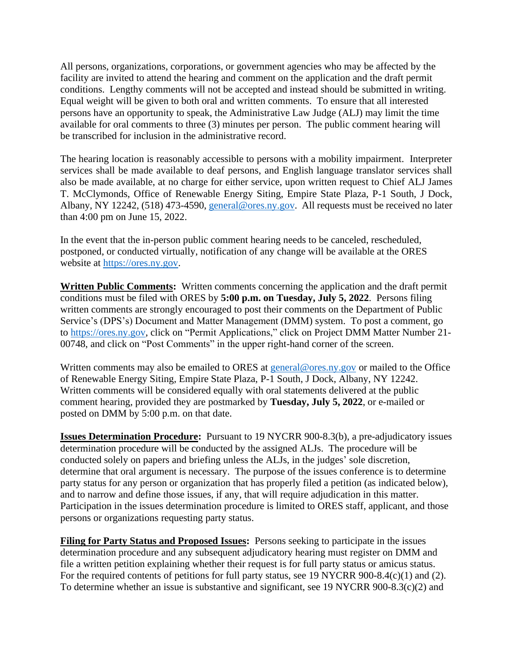All persons, organizations, corporations, or government agencies who may be affected by the facility are invited to attend the hearing and comment on the application and the draft permit conditions. Lengthy comments will not be accepted and instead should be submitted in writing. Equal weight will be given to both oral and written comments. To ensure that all interested persons have an opportunity to speak, the Administrative Law Judge (ALJ) may limit the time available for oral comments to three (3) minutes per person. The public comment hearing will be transcribed for inclusion in the administrative record.

The hearing location is reasonably accessible to persons with a mobility impairment. Interpreter services shall be made available to deaf persons, and English language translator services shall also be made available, at no charge for either service, upon written request to Chief ALJ James T. McClymonds, Office of Renewable Energy Siting, Empire State Plaza, P-1 South, J Dock, Albany, NY 12242, (518) 473-4590, [general@ores.ny.gov.](mailto:general@ores.ny.gov) All requests must be received no later than 4:00 pm on June 15, 2022.

In the event that the in-person public comment hearing needs to be canceled, rescheduled, postponed, or conducted virtually, notification of any change will be available at the ORES website at [https://ores.ny.gov.](https://ores.ny.gov/)

**Written Public Comments:** Written comments concerning the application and the draft permit conditions must be filed with ORES by **5:00 p.m. on Tuesday, July 5, 2022**. Persons filing written comments are strongly encouraged to post their comments on the Department of Public Service's (DPS's) Document and Matter Management (DMM) system. To post a comment, go to [https://ores.ny.gov,](https://ores.ny.gov/) click on "Permit Applications," click on Project DMM Matter Number 21- 00748, and click on "Post Comments" in the upper right-hand corner of the screen.

Written comments may also be emailed to ORES at [general@ores.ny.gov](mailto:general@ores.ny.gov) or mailed to the Office of Renewable Energy Siting, Empire State Plaza, P-1 South, J Dock, Albany, NY 12242. Written comments will be considered equally with oral statements delivered at the public comment hearing, provided they are postmarked by **Tuesday, July 5, 2022**, or e-mailed or posted on DMM by 5:00 p.m. on that date.

**Issues Determination Procedure:** Pursuant to 19 NYCRR 900-8.3(b), a pre-adjudicatory issues determination procedure will be conducted by the assigned ALJs. The procedure will be conducted solely on papers and briefing unless the ALJs, in the judges' sole discretion, determine that oral argument is necessary. The purpose of the issues conference is to determine party status for any person or organization that has properly filed a petition (as indicated below), and to narrow and define those issues, if any, that will require adjudication in this matter. Participation in the issues determination procedure is limited to ORES staff, applicant, and those persons or organizations requesting party status.

**Filing for Party Status and Proposed Issues:** Persons seeking to participate in the issues determination procedure and any subsequent adjudicatory hearing must register on DMM and file a written petition explaining whether their request is for full party status or amicus status. For the required contents of petitions for full party status, see 19 NYCRR 900-8.4(c)(1) and (2). To determine whether an issue is substantive and significant, see 19 NYCRR 900-8.3(c)(2) and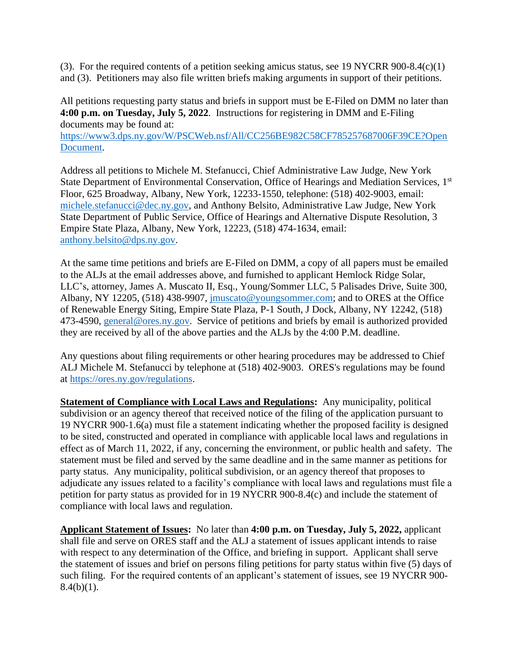(3). For the required contents of a petition seeking amicus status, see 19 NYCRR 900-8.4(c)(1) and (3). Petitioners may also file written briefs making arguments in support of their petitions.

All petitions requesting party status and briefs in support must be E-Filed on DMM no later than **4:00 p.m. on Tuesday, July 5, 2022**. Instructions for registering in DMM and E-Filing documents may be found at:

[https://www3.dps.ny.gov/W/PSCWeb.nsf/All/CC256BE982C58CF785257687006F39CE?Open](https://www3.dps.ny.gov/W/PSCWeb.nsf/All/CC256BE982C58CF785257687006F39CE?OpenDocument) [Document.](https://www3.dps.ny.gov/W/PSCWeb.nsf/All/CC256BE982C58CF785257687006F39CE?OpenDocument)

Address all petitions to Michele M. Stefanucci, Chief Administrative Law Judge, New York State Department of Environmental Conservation, Office of Hearings and Mediation Services, 1st Floor, 625 Broadway, Albany, New York, 12233-1550, telephone: (518) 402-9003, email: [michele.stefanucci@dec.ny.gov,](mailto:michele.stefanucci@dec.ny.gov) and Anthony Belsito, Administrative Law Judge, New York State Department of Public Service, Office of Hearings and Alternative Dispute Resolution, 3 Empire State Plaza, Albany, New York, 12223, (518) 474-1634, email: [anthony.belsito@dps.ny.gov.](mailto:anthony.belsito@dps.ny.gov)

At the same time petitions and briefs are E-Filed on DMM, a copy of all papers must be emailed to the ALJs at the email addresses above, and furnished to applicant Hemlock Ridge Solar, LLC's, attorney, James A. Muscato II, Esq., Young/Sommer LLC, 5 Palisades Drive, Suite 300, Albany, NY 12205, (518) 438-9907, *imuscato@youngsommer.com*; and to ORES at the Office of Renewable Energy Siting, Empire State Plaza, P-1 South, J Dock, Albany, NY 12242, (518) 473-4590, [general@ores.ny.gov.](mailto:general@ores.ny.gov) Service of petitions and briefs by email is authorized provided they are received by all of the above parties and the ALJs by the 4:00 P.M. deadline.

Any questions about filing requirements or other hearing procedures may be addressed to Chief ALJ Michele M. Stefanucci by telephone at (518) 402-9003. ORES's regulations may be found at<https://ores.ny.gov/>regulations.

**Statement of Compliance with Local Laws and Regulations:** Any municipality, political subdivision or an agency thereof that received notice of the filing of the application pursuant to 19 NYCRR 900-1.6(a) must file a statement indicating whether the proposed facility is designed to be sited, constructed and operated in compliance with applicable local laws and regulations in effect as of March 11, 2022, if any, concerning the environment, or public health and safety. The statement must be filed and served by the same deadline and in the same manner as petitions for party status. Any municipality, political subdivision, or an agency thereof that proposes to adjudicate any issues related to a facility's compliance with local laws and regulations must file a petition for party status as provided for in 19 NYCRR 900-8.4(c) and include the statement of compliance with local laws and regulation.

**Applicant Statement of Issues:** No later than **4:00 p.m. on Tuesday, July 5, 2022,** applicant shall file and serve on ORES staff and the ALJ a statement of issues applicant intends to raise with respect to any determination of the Office, and briefing in support. Applicant shall serve the statement of issues and brief on persons filing petitions for party status within five (5) days of such filing. For the required contents of an applicant's statement of issues, see 19 NYCRR 900-  $8.4(b)(1)$ .